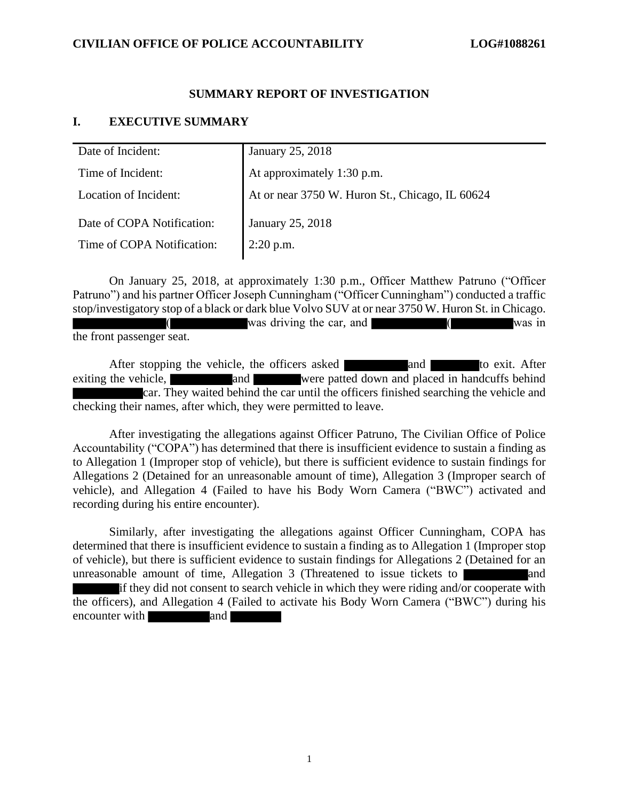# **SUMMARY REPORT OF INVESTIGATION**

# **I. EXECUTIVE SUMMARY**

| Date of Incident:          | January 25, 2018                                |
|----------------------------|-------------------------------------------------|
| Time of Incident:          | At approximately 1:30 p.m.                      |
| Location of Incident:      | At or near 3750 W. Huron St., Chicago, IL 60624 |
| Date of COPA Notification: | January 25, 2018                                |
| Time of COPA Notification: | $2:20$ p.m.                                     |

On January 25, 2018, at approximately 1:30 p.m., Officer Matthew Patruno ("Officer Patruno") and his partner Officer Joseph Cunningham ("Officer Cunningham") conducted a traffic stop/investigatory stop of a black or dark blue Volvo SUV at or near 3750 W. Huron St. in Chicago. was driving the car, and  $\sqrt{ }$  (was in the front passenger seat.

After stopping the vehicle, the officers asked and and to exit. After exiting the vehicle, and were patted down and placed in handcuffs behind car. They waited behind the car until the officers finished searching the vehicle and checking their names, after which, they were permitted to leave.

After investigating the allegations against Officer Patruno, The Civilian Office of Police Accountability ("COPA") has determined that there is insufficient evidence to sustain a finding as to Allegation 1 (Improper stop of vehicle), but there is sufficient evidence to sustain findings for Allegations 2 (Detained for an unreasonable amount of time), Allegation 3 (Improper search of vehicle), and Allegation 4 (Failed to have his Body Worn Camera ("BWC") activated and recording during his entire encounter).

Similarly, after investigating the allegations against Officer Cunningham, COPA has determined that there is insufficient evidence to sustain a finding as to Allegation 1 (Improper stop of vehicle), but there is sufficient evidence to sustain findings for Allegations 2 (Detained for an unreasonable amount of time, Allegation  $3$  (Threatened to issue tickets to  $\vert$ if they did not consent to search vehicle in which they were riding and/or cooperate with the officers), and Allegation 4 (Failed to activate his Body Worn Camera ("BWC") during his encounter with and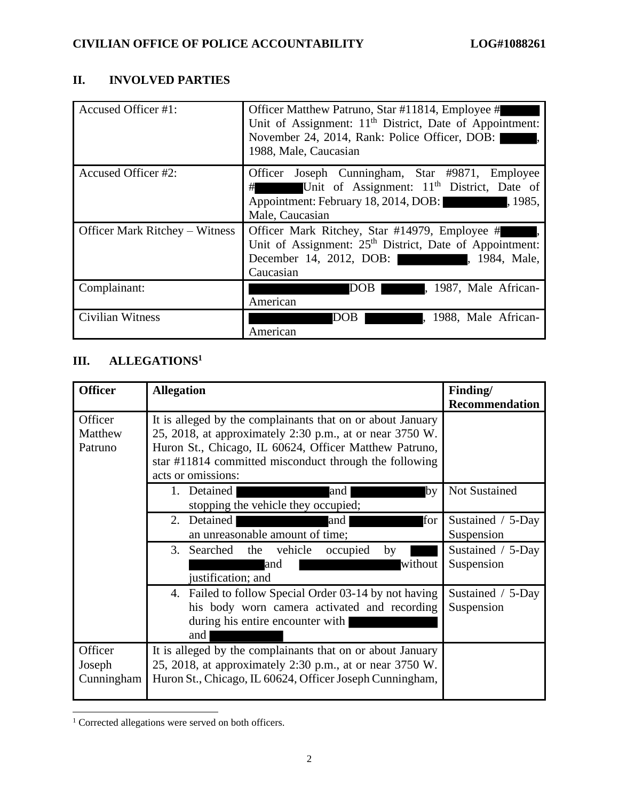# **II. INVOLVED PARTIES**

| Accused Officer #1:                   | Officer Matthew Patruno, Star #11814, Employee #<br>Unit of Assignment: 11 <sup>th</sup> District, Date of Appointment:<br>November 24, 2014, Rank: Police Officer, DOB:<br>1988, Male, Caucasian |
|---------------------------------------|---------------------------------------------------------------------------------------------------------------------------------------------------------------------------------------------------|
| Accused Officer #2:                   | Officer Joseph Cunningham, Star #9871, Employee<br>Unit of Assignment: 11 <sup>th</sup> District, Date of<br>#<br>Appointment: February 18, 2014, DOB: 1985,<br>Male, Caucasian                   |
| <b>Officer Mark Ritchey – Witness</b> | Officer Mark Ritchey, Star #14979, Employee #<br>Unit of Assignment: 25 <sup>th</sup> District, Date of Appointment:<br>December 14, 2012, DOB: (1984, Male,<br>Caucasian                         |
| Complainant:                          | DOB  <br>, 1987, Male African-<br>American                                                                                                                                                        |
| Civilian Witness                      | , 1988, Male African-<br>DOB  <br>American                                                                                                                                                        |

# **III. ALLEGATIONS<sup>1</sup>**

| <b>Officer</b>                  | <b>Allegation</b>                                                                                                                                                                                                                                                | Finding/<br><b>Recommendation</b> |
|---------------------------------|------------------------------------------------------------------------------------------------------------------------------------------------------------------------------------------------------------------------------------------------------------------|-----------------------------------|
| Officer<br>Matthew<br>Patruno   | It is alleged by the complainants that on or about January<br>25, 2018, at approximately 2:30 p.m., at or near 3750 W.<br>Huron St., Chicago, IL 60624, Officer Matthew Patruno,<br>star #11814 committed misconduct through the following<br>acts or omissions: |                                   |
|                                 | 1. Detained<br> and<br>bv<br>stopping the vehicle they occupied;                                                                                                                                                                                                 | <b>Not Sustained</b>              |
|                                 | for<br>2. Detained<br>and<br>an unreasonable amount of time;                                                                                                                                                                                                     | Sustained / 5-Day<br>Suspension   |
|                                 | vehicle<br>3. Searched the<br>occupied<br>by<br>without<br>and<br>justification; and                                                                                                                                                                             | Sustained / 5-Day<br>Suspension   |
|                                 | 4. Failed to follow Special Order 03-14 by not having<br>his body worn camera activated and recording<br>during his entire encounter with<br>and                                                                                                                 | Sustained / 5-Day<br>Suspension   |
| Officer<br>Joseph<br>Cunningham | It is alleged by the complainants that on or about January<br>25, 2018, at approximately 2:30 p.m., at or near 3750 W.<br>Huron St., Chicago, IL 60624, Officer Joseph Cunningham,                                                                               |                                   |

<sup>&</sup>lt;sup>1</sup> Corrected allegations were served on both officers.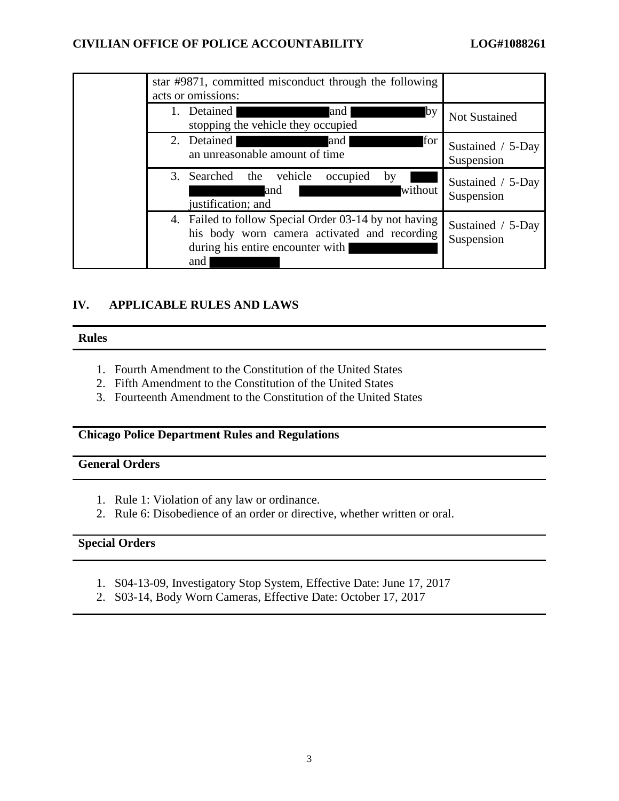| star #9871, committed misconduct through the following<br>acts or omissions:                                                                     |                                 |
|--------------------------------------------------------------------------------------------------------------------------------------------------|---------------------------------|
| Detained<br>and<br>$\mathbf{I}$ by<br>stopping the vehicle they occupied                                                                         | <b>Not Sustained</b>            |
| 2. Detained<br>for<br>and<br>an unreasonable amount of time                                                                                      | Sustained / 5-Day<br>Suspension |
| 3. Searched the vehicle<br>occupied<br>by<br>without<br>and<br>justification; and                                                                | Sustained / 5-Day<br>Suspension |
| 4. Failed to follow Special Order 03-14 by not having<br>his body worn camera activated and recording<br>during his entire encounter with<br>and | Sustained / 5-Day<br>Suspension |

# **IV. APPLICABLE RULES AND LAWS**

### **Rules**

- 1. Fourth Amendment to the Constitution of the United States
- 2. Fifth Amendment to the Constitution of the United States
- 3. Fourteenth Amendment to the Constitution of the United States

# **Chicago Police Department Rules and Regulations**

# **General Orders**

- 1. Rule 1: Violation of any law or ordinance.
- 2. Rule 6: Disobedience of an order or directive, whether written or oral.

# **Special Orders**

- 1. S04-13-09, Investigatory Stop System, Effective Date: June 17, 2017
- 2. S03-14, Body Worn Cameras, Effective Date: October 17, 2017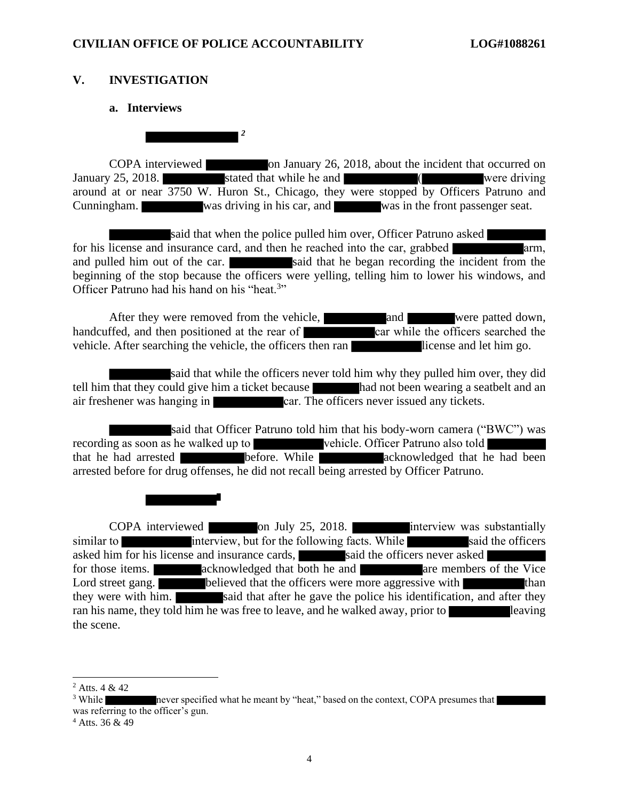# **V. INVESTIGATION**

## **a. Interviews**

*2*

COPA interviewed on January 26, 2018, about the incident that occurred on January 25, 2018. Stated that while he and Terminan Company 25, 2018. around at or near 3750 W. Huron St., Chicago, they were stopped by Officers Patruno and Cunningham. was driving in his car, and was in the front passenger seat.

said that when the police pulled him over, Officer Patruno asked for his license and insurance card, and then he reached into the car, grabbed arm, and pulled him out of the car. said that he began recording the incident from the beginning of the stop because the officers were yelling, telling him to lower his windows, and Officer Patruno had his hand on his "heat.<sup>3</sup>"

After they were removed from the vehicle, and were patted down, handcuffed, and then positioned at the rear of car while the officers searched the vehicle. After searching the vehicle, the officers then ran license and let him go.

said that while the officers never told him why they pulled him over, they did tell him that they could give him a ticket because had not been wearing a seatbelt and an air freshener was hanging in car. The officers never issued any tickets.

said that Officer Patruno told him that his body-worn camera ("BWC") was recording as soon as he walked up to vehicle. Officer Patruno also told that he had arrested before. While acknowledged that he had been arrested before for drug offenses, he did not recall being arrested by Officer Patruno.

COPA interviewed on July 25, 2018. interview was substantially similar to interview, but for the following facts. While said the officers asked him for his license and insurance cards, said the officers never asked for those items. The acknowledged that both he and are members of the Vice Lord street gang. **believed that the officers were more aggressive with** than they were with him. said that after he gave the police his identification, and after they ran his name, they told him he was free to leave, and he walked away, prior to the scene.

 $^{2}$  Atts, 4 & 42

<sup>&</sup>lt;sup>3</sup> While never specified what he meant by "heat," based on the context, COPA presumes that was referring to the officer's gun.

<sup>4</sup> Atts. 36 & 49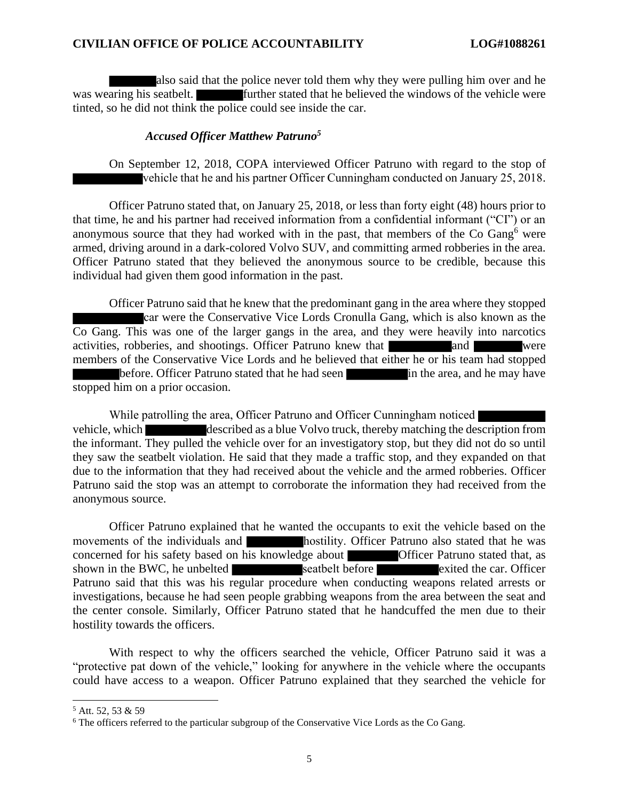also said that the police never told them why they were pulling him over and he was wearing his seatbelt. **Further stated that he believed the windows of the vehicle were** tinted, so he did not think the police could see inside the car.

## *Accused Officer Matthew Patruno<sup>5</sup>*

On September 12, 2018, COPA interviewed Officer Patruno with regard to the stop of vehicle that he and his partner Officer Cunningham conducted on January 25, 2018.

Officer Patruno stated that, on January 25, 2018, or less than forty eight (48) hours prior to that time, he and his partner had received information from a confidential informant ("CI") or an anonymous source that they had worked with in the past, that members of the Co Gang<sup>6</sup> were armed, driving around in a dark-colored Volvo SUV, and committing armed robberies in the area. Officer Patruno stated that they believed the anonymous source to be credible, because this individual had given them good information in the past.

Officer Patruno said that he knew that the predominant gang in the area where they stopped car were the Conservative Vice Lords Cronulla Gang, which is also known as the Co Gang. This was one of the larger gangs in the area, and they were heavily into narcotics activities, robberies, and shootings. Officer Patruno knew that and and were members of the Conservative Vice Lords and he believed that either he or his team had stopped before. Officer Patruno stated that he had seen in the area, and he may have stopped him on a prior occasion.

While patrolling the area, Officer Patruno and Officer Cunningham noticed vehicle, which described as a blue Volvo truck, thereby matching the description from the informant. They pulled the vehicle over for an investigatory stop, but they did not do so until they saw the seatbelt violation. He said that they made a traffic stop, and they expanded on that due to the information that they had received about the vehicle and the armed robberies. Officer Patruno said the stop was an attempt to corroborate the information they had received from the anonymous source.

Officer Patruno explained that he wanted the occupants to exit the vehicle based on the movements of the individuals and **hostility**. Officer Patruno also stated that he was concerned for his safety based on his knowledge about Officer Patruno stated that, as shown in the BWC, he unbelted seatbelt before exited the car. Officer Patruno said that this was his regular procedure when conducting weapons related arrests or investigations, because he had seen people grabbing weapons from the area between the seat and the center console. Similarly, Officer Patruno stated that he handcuffed the men due to their hostility towards the officers.

With respect to why the officers searched the vehicle, Officer Patruno said it was a "protective pat down of the vehicle," looking for anywhere in the vehicle where the occupants could have access to a weapon. Officer Patruno explained that they searched the vehicle for

<sup>5</sup> Att. 52, 53 & 59

<sup>&</sup>lt;sup>6</sup> The officers referred to the particular subgroup of the Conservative Vice Lords as the Co Gang.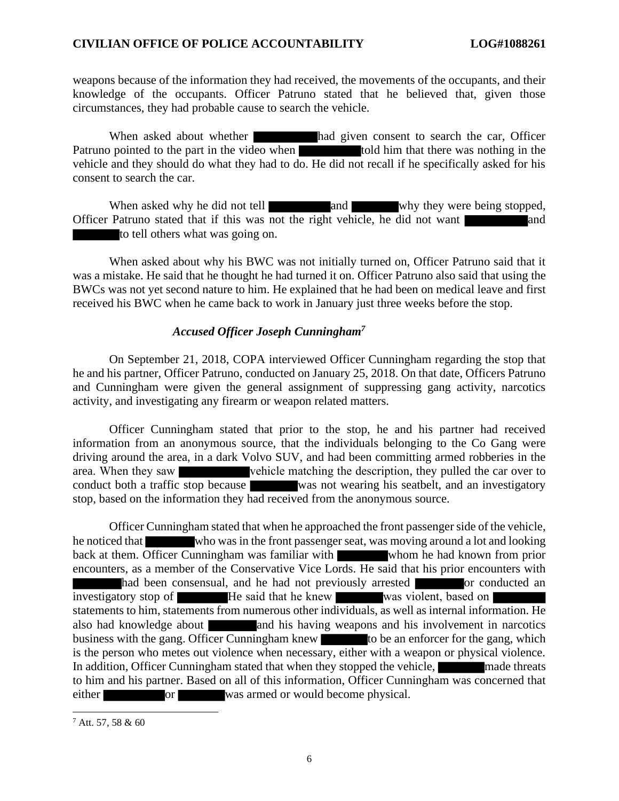weapons because of the information they had received, the movements of the occupants, and their knowledge of the occupants. Officer Patruno stated that he believed that, given those circumstances, they had probable cause to search the vehicle.

When asked about whether **had given consent to search the car**, Officer Patruno pointed to the part in the video when told him that there was nothing in the vehicle and they should do what they had to do. He did not recall if he specifically asked for his consent to search the car.

When asked why he did not tell and and why they were being stopped, Officer Patruno stated that if this was not the right vehicle, he did not want to tell others what was going on.

When asked about why his BWC was not initially turned on, Officer Patruno said that it was a mistake. He said that he thought he had turned it on. Officer Patruno also said that using the BWCs was not yet second nature to him. He explained that he had been on medical leave and first received his BWC when he came back to work in January just three weeks before the stop.

### *Accused Officer Joseph Cunningham<sup>7</sup>*

On September 21, 2018, COPA interviewed Officer Cunningham regarding the stop that he and his partner, Officer Patruno, conducted on January 25, 2018. On that date, Officers Patruno and Cunningham were given the general assignment of suppressing gang activity, narcotics activity, and investigating any firearm or weapon related matters.

Officer Cunningham stated that prior to the stop, he and his partner had received information from an anonymous source, that the individuals belonging to the Co Gang were driving around the area, in a dark Volvo SUV, and had been committing armed robberies in the area. When they saw vehicle matching the description, they pulled the car over to conduct both a traffic stop because was not wearing his seatbelt, and an investigatory stop, based on the information they had received from the anonymous source.

Officer Cunningham stated that when he approached the front passenger side of the vehicle, he noticed that who was in the front passenger seat, was moving around a lot and looking back at them. Officer Cunningham was familiar with whom he had known from prior encounters, as a member of the Conservative Vice Lords. He said that his prior encounters with had been consensual, and he had not previously arrested or conducted an investigatory stop of **He** said that he knew was violent, based on statements to him, statements from numerous other individuals, as well as internal information. He also had knowledge about **and his having weapons and his involvement in narcotics** business with the gang. Officer Cunningham knew to be an enforcer for the gang, which is the person who metes out violence when necessary, either with a weapon or physical violence. In addition, Officer Cunningham stated that when they stopped the vehicle, made threats to him and his partner. Based on all of this information, Officer Cunningham was concerned that either or was armed or would become physical.

 $7$  Att. 57, 58 & 60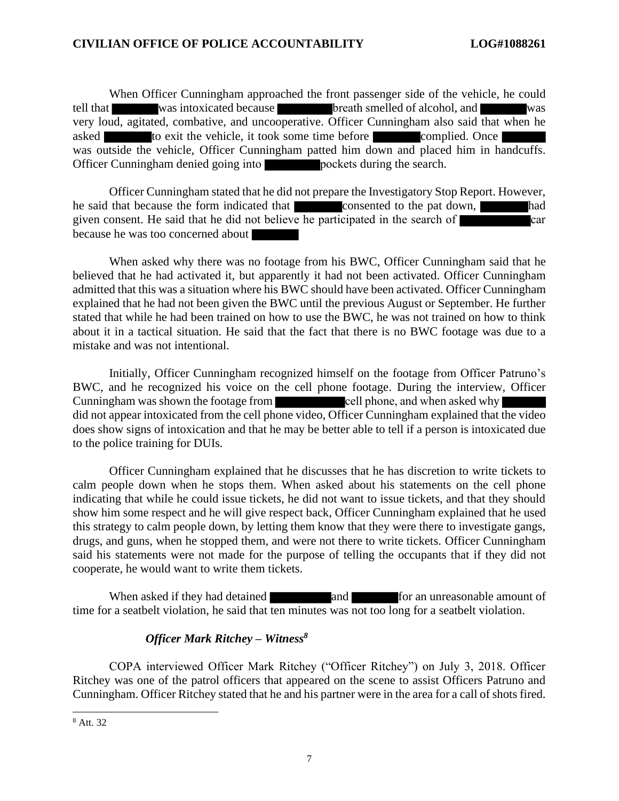When Officer Cunningham approached the front passenger side of the vehicle, he could tell that was intoxicated because breath smelled of alcohol, and was very loud, agitated, combative, and uncooperative. Officer Cunningham also said that when he asked to exit the vehicle, it took some time before complied. Once was outside the vehicle, Officer Cunningham patted him down and placed him in handcuffs. Officer Cunningham denied going into **pockets** during the search.

Officer Cunningham stated that he did not prepare the Investigatory Stop Report. However, he said that because the form indicated that consented to the pat down, had given consent. He said that he did not believe he participated in the search of  $\sim$  car because he was too concerned about

When asked why there was no footage from his BWC, Officer Cunningham said that he believed that he had activated it, but apparently it had not been activated. Officer Cunningham admitted that this was a situation where his BWC should have been activated. Officer Cunningham explained that he had not been given the BWC until the previous August or September. He further stated that while he had been trained on how to use the BWC, he was not trained on how to think about it in a tactical situation. He said that the fact that there is no BWC footage was due to a mistake and was not intentional.

Initially, Officer Cunningham recognized himself on the footage from Officer Patruno's BWC, and he recognized his voice on the cell phone footage. During the interview, Officer Cunningham was shown the footage from cell phone, and when asked why did not appear intoxicated from the cell phone video, Officer Cunningham explained that the video does show signs of intoxication and that he may be better able to tell if a person is intoxicated due to the police training for DUIs.

Officer Cunningham explained that he discusses that he has discretion to write tickets to calm people down when he stops them. When asked about his statements on the cell phone indicating that while he could issue tickets, he did not want to issue tickets, and that they should show him some respect and he will give respect back, Officer Cunningham explained that he used this strategy to calm people down, by letting them know that they were there to investigate gangs, drugs, and guns, when he stopped them, and were not there to write tickets. Officer Cunningham said his statements were not made for the purpose of telling the occupants that if they did not cooperate, he would want to write them tickets.

When asked if they had detained **and and and for an unreasonable amount of** time for a seatbelt violation, he said that ten minutes was not too long for a seatbelt violation.

# *Officer Mark Ritchey – Witness<sup>8</sup>*

COPA interviewed Officer Mark Ritchey ("Officer Ritchey") on July 3, 2018. Officer Ritchey was one of the patrol officers that appeared on the scene to assist Officers Patruno and Cunningham. Officer Ritchey stated that he and his partner were in the area for a call of shots fired.

<sup>8</sup> Att. 32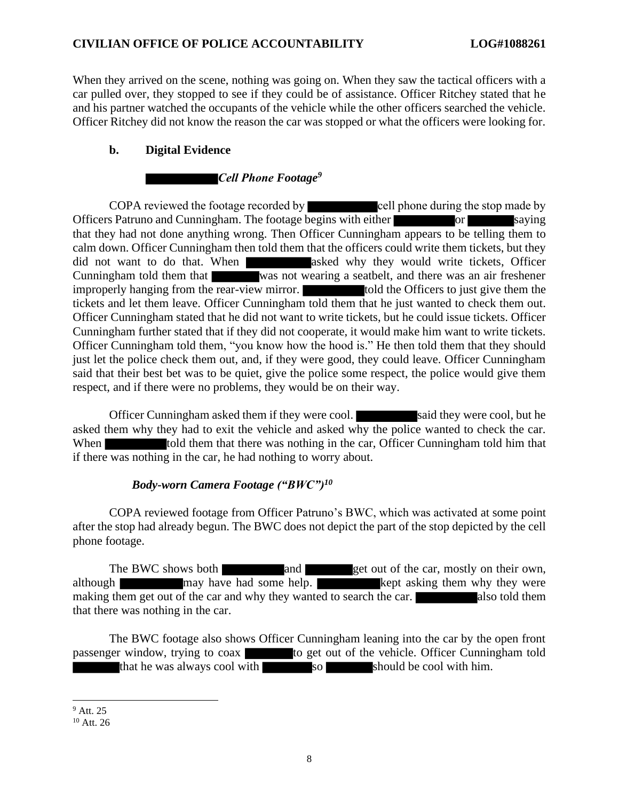When they arrived on the scene, nothing was going on. When they saw the tactical officers with a car pulled over, they stopped to see if they could be of assistance. Officer Ritchey stated that he and his partner watched the occupants of the vehicle while the other officers searched the vehicle. Officer Ritchey did not know the reason the car was stopped or what the officers were looking for.

# **b. Digital Evidence**

# *Cell Phone Footage<sup>9</sup>*

COPA reviewed the footage recorded by cell phone during the stop made by Officers Patruno and Cunningham. The footage begins with either or saying that they had not done anything wrong. Then Officer Cunningham appears to be telling them to calm down. Officer Cunningham then told them that the officers could write them tickets, but they did not want to do that. When asked why they would write tickets, Officer Cunningham told them that was not wearing a seatbelt, and there was an air freshener improperly hanging from the rear-view mirror. told the Officers to just give them the tickets and let them leave. Officer Cunningham told them that he just wanted to check them out. Officer Cunningham stated that he did not want to write tickets, but he could issue tickets. Officer Cunningham further stated that if they did not cooperate, it would make him want to write tickets. Officer Cunningham told them, "you know how the hood is." He then told them that they should just let the police check them out, and, if they were good, they could leave. Officer Cunningham said that their best bet was to be quiet, give the police some respect, the police would give them respect, and if there were no problems, they would be on their way.

Officer Cunningham asked them if they were cool. said they were cool, but he asked them why they had to exit the vehicle and asked why the police wanted to check the car. When told them that there was nothing in the car, Officer Cunningham told him that if there was nothing in the car, he had nothing to worry about.

# *Body-worn Camera Footage ("BWC")<sup>10</sup>*

COPA reviewed footage from Officer Patruno's BWC, which was activated at some point after the stop had already begun. The BWC does not depict the part of the stop depicted by the cell phone footage.

The BWC shows both and get out of the car, mostly on their own, although may have had some help. Kept asking them why they were making them get out of the car and why they wanted to search the car. also told them that there was nothing in the car.

The BWC footage also shows Officer Cunningham leaning into the car by the open front passenger window, trying to coax to get out of the vehicle. Officer Cunningham told that he was always cool with so should be cool with him.

<sup>&</sup>lt;sup>9</sup> Att. 25

 $10$  Att. 26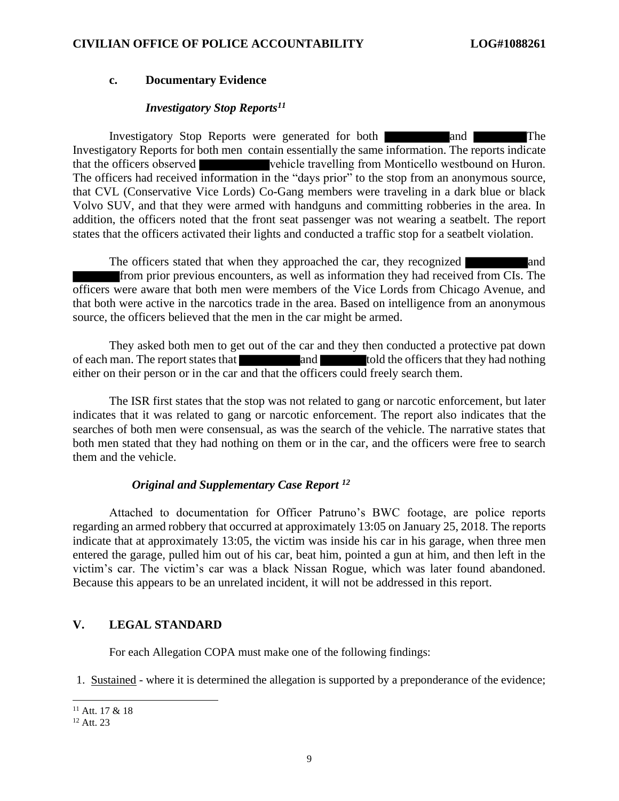#### **c. Documentary Evidence**

### *Investigatory Stop Reports<sup>11</sup>*

Investigatory Stop Reports were generated for both and and The Investigatory Reports for both men contain essentially the same information. The reports indicate that the officers observed vehicle travelling from Monticello westbound on Huron. The officers had received information in the "days prior" to the stop from an anonymous source, that CVL (Conservative Vice Lords) Co-Gang members were traveling in a dark blue or black Volvo SUV, and that they were armed with handguns and committing robberies in the area. In addition, the officers noted that the front seat passenger was not wearing a seatbelt. The report states that the officers activated their lights and conducted a traffic stop for a seatbelt violation.

The officers stated that when they approached the car, they recognized and from prior previous encounters, as well as information they had received from CIs. The officers were aware that both men were members of the Vice Lords from Chicago Avenue, and that both were active in the narcotics trade in the area. Based on intelligence from an anonymous source, the officers believed that the men in the car might be armed.

They asked both men to get out of the car and they then conducted a protective pat down of each man. The report states that **the state and** told the officers that they had nothing either on their person or in the car and that the officers could freely search them.

The ISR first states that the stop was not related to gang or narcotic enforcement, but later indicates that it was related to gang or narcotic enforcement. The report also indicates that the searches of both men were consensual, as was the search of the vehicle. The narrative states that both men stated that they had nothing on them or in the car, and the officers were free to search them and the vehicle.

# *Original and Supplementary Case Report <sup>12</sup>*

Attached to documentation for Officer Patruno's BWC footage, are police reports regarding an armed robbery that occurred at approximately 13:05 on January 25, 2018. The reports indicate that at approximately 13:05, the victim was inside his car in his garage, when three men entered the garage, pulled him out of his car, beat him, pointed a gun at him, and then left in the victim's car. The victim's car was a black Nissan Rogue, which was later found abandoned. Because this appears to be an unrelated incident, it will not be addressed in this report.

# **V. LEGAL STANDARD**

For each Allegation COPA must make one of the following findings:

1. Sustained - where it is determined the allegation is supported by a preponderance of the evidence;

 $11$  Att. 17 & 18

<sup>12</sup> Att. 23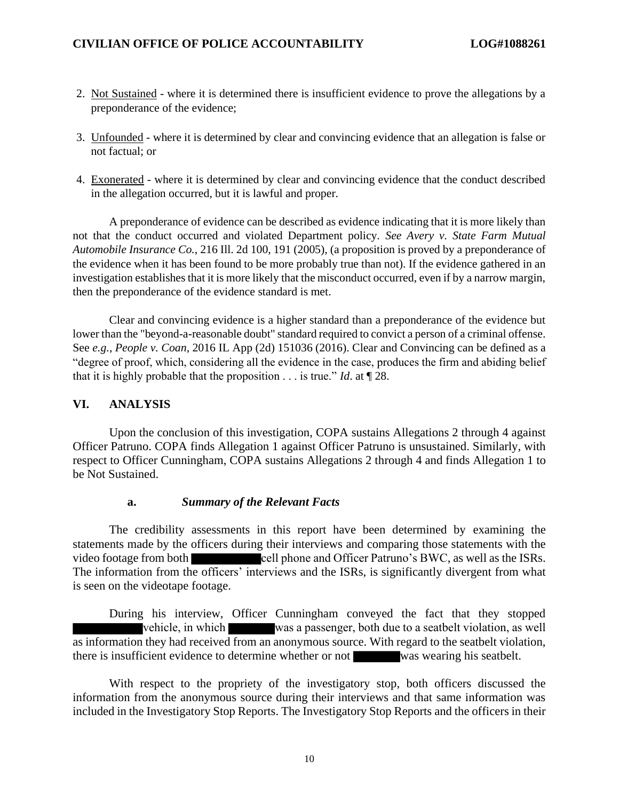- 2. Not Sustained where it is determined there is insufficient evidence to prove the allegations by a preponderance of the evidence;
- 3. Unfounded where it is determined by clear and convincing evidence that an allegation is false or not factual; or
- 4. Exonerated where it is determined by clear and convincing evidence that the conduct described in the allegation occurred, but it is lawful and proper.

A preponderance of evidence can be described as evidence indicating that it is more likely than not that the conduct occurred and violated Department policy. *See Avery v. State Farm Mutual Automobile Insurance Co.*, 216 Ill. 2d 100, 191 (2005), (a proposition is proved by a preponderance of the evidence when it has been found to be more probably true than not). If the evidence gathered in an investigation establishes that it is more likely that the misconduct occurred, even if by a narrow margin, then the preponderance of the evidence standard is met.

Clear and convincing evidence is a higher standard than a preponderance of the evidence but lower than the "beyond-a-reasonable doubt" standard required to convict a person of a criminal offense. See *e.g.*, *People v. Coan*, 2016 IL App (2d) 151036 (2016). Clear and Convincing can be defined as a "degree of proof, which, considering all the evidence in the case, produces the firm and abiding belief that it is highly probable that the proposition . . . is true." *Id*. at ¶ 28.

## **VI. ANALYSIS**

Upon the conclusion of this investigation, COPA sustains Allegations 2 through 4 against Officer Patruno. COPA finds Allegation 1 against Officer Patruno is unsustained. Similarly, with respect to Officer Cunningham, COPA sustains Allegations 2 through 4 and finds Allegation 1 to be Not Sustained.

#### **a.** *Summary of the Relevant Facts*

The credibility assessments in this report have been determined by examining the statements made by the officers during their interviews and comparing those statements with the video footage from both cell phone and Officer Patruno's BWC, as well as the ISRs. The information from the officers' interviews and the ISRs, is significantly divergent from what is seen on the videotape footage.

During his interview, Officer Cunningham conveyed the fact that they stopped vehicle, in which was a passenger, both due to a seatbelt violation, as well as information they had received from an anonymous source. With regard to the seatbelt violation, there is insufficient evidence to determine whether or not was wearing his seatbelt.

With respect to the propriety of the investigatory stop, both officers discussed the information from the anonymous source during their interviews and that same information was included in the Investigatory Stop Reports. The Investigatory Stop Reports and the officers in their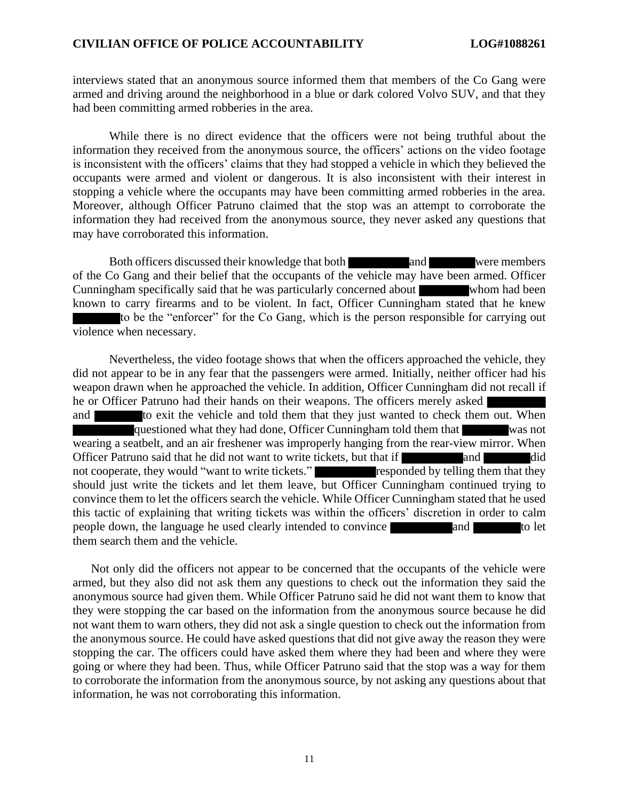interviews stated that an anonymous source informed them that members of the Co Gang were armed and driving around the neighborhood in a blue or dark colored Volvo SUV, and that they had been committing armed robberies in the area.

While there is no direct evidence that the officers were not being truthful about the information they received from the anonymous source, the officers' actions on the video footage is inconsistent with the officers' claims that they had stopped a vehicle in which they believed the occupants were armed and violent or dangerous. It is also inconsistent with their interest in stopping a vehicle where the occupants may have been committing armed robberies in the area. Moreover, although Officer Patruno claimed that the stop was an attempt to corroborate the information they had received from the anonymous source, they never asked any questions that may have corroborated this information.

Both officers discussed their knowledge that both and were members of the Co Gang and their belief that the occupants of the vehicle may have been armed. Officer Cunningham specifically said that he was particularly concerned about whom had been known to carry firearms and to be violent. In fact, Officer Cunningham stated that he knew to be the "enforcer" for the Co Gang, which is the person responsible for carrying out violence when necessary.

Nevertheless, the video footage shows that when the officers approached the vehicle, they did not appear to be in any fear that the passengers were armed. Initially, neither officer had his weapon drawn when he approached the vehicle. In addition, Officer Cunningham did not recall if he or Officer Patruno had their hands on their weapons. The officers merely asked and to exit the vehicle and told them that they just wanted to check them out. When questioned what they had done, Officer Cunningham told them that was not wearing a seatbelt, and an air freshener was improperly hanging from the rear-view mirror. When Officer Patruno said that he did not want to write tickets, but that if and and did not cooperate, they would "want to write tickets." responded by telling them that they should just write the tickets and let them leave, but Officer Cunningham continued trying to convince them to let the officers search the vehicle. While Officer Cunningham stated that he used this tactic of explaining that writing tickets was within the officers' discretion in order to calm people down, the language he used clearly intended to convince and and to let them search them and the vehicle.

Not only did the officers not appear to be concerned that the occupants of the vehicle were armed, but they also did not ask them any questions to check out the information they said the anonymous source had given them. While Officer Patruno said he did not want them to know that they were stopping the car based on the information from the anonymous source because he did not want them to warn others, they did not ask a single question to check out the information from the anonymous source. He could have asked questions that did not give away the reason they were stopping the car. The officers could have asked them where they had been and where they were going or where they had been. Thus, while Officer Patruno said that the stop was a way for them to corroborate the information from the anonymous source, by not asking any questions about that information, he was not corroborating this information.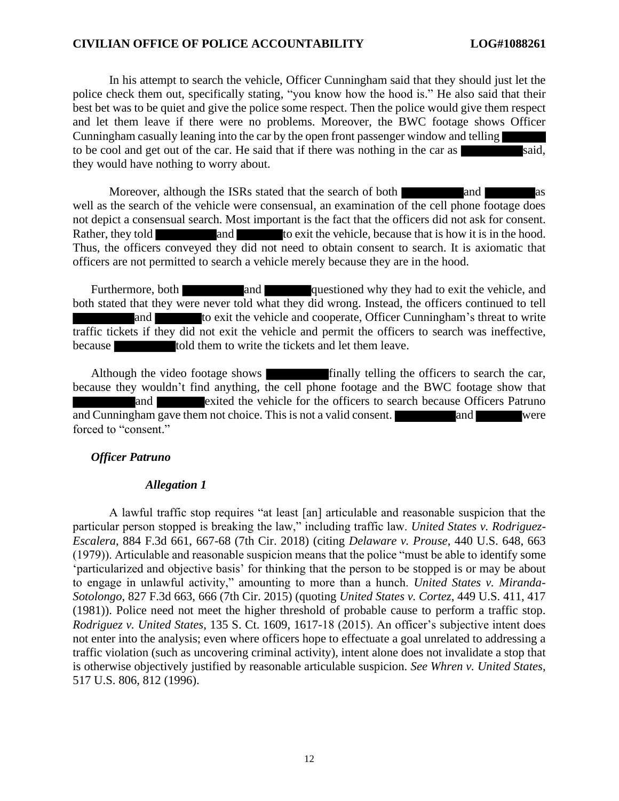In his attempt to search the vehicle, Officer Cunningham said that they should just let the police check them out, specifically stating, "you know how the hood is." He also said that their best bet was to be quiet and give the police some respect. Then the police would give them respect and let them leave if there were no problems. Moreover, the BWC footage shows Officer Cunningham casually leaning into the car by the open front passenger window and telling to be cool and get out of the car. He said that if there was nothing in the car as said, they would have nothing to worry about.

Moreover, although the ISRs stated that the search of both and well as the search of the vehicle were consensual, an examination of the cell phone footage does not depict a consensual search. Most important is the fact that the officers did not ask for consent. Rather, they told and to exit the vehicle, because that is how it is in the hood. Thus, the officers conveyed they did not need to obtain consent to search. It is axiomatic that officers are not permitted to search a vehicle merely because they are in the hood.

Furthermore, both and questioned why they had to exit the vehicle, and both stated that they were never told what they did wrong. Instead, the officers continued to tell and to exit the vehicle and cooperate, Officer Cunningham's threat to write traffic tickets if they did not exit the vehicle and permit the officers to search was ineffective, because told them to write the tickets and let them leave.

Although the video footage shows finally telling the officers to search the car, because they wouldn't find anything, the cell phone footage and the BWC footage show that and **Exited the vehicle for the officers to search because Officers Patruno** and Cunningham gave them not choice. This is not a valid consent. and were forced to "consent."

#### *Officer Patruno*

#### *Allegation 1*

A lawful traffic stop requires "at least [an] articulable and reasonable suspicion that the particular person stopped is breaking the law," including traffic law. *United States v. Rodriguez-Escalera*, 884 F.3d 661, 667-68 (7th Cir. 2018) (citing *Delaware v. Prouse*, 440 U.S. 648, 663 (1979)). Articulable and reasonable suspicion means that the police "must be able to identify some 'particularized and objective basis' for thinking that the person to be stopped is or may be about to engage in unlawful activity," amounting to more than a hunch. *United States v. Miranda-Sotolongo*, 827 F.3d 663, 666 (7th Cir. 2015) (quoting *United States v. Cortez*, 449 U.S. 411, 417 (1981)). Police need not meet the higher threshold of probable cause to perform a traffic stop. *Rodriguez v. United States*, 135 S. Ct. 1609, 1617-18 (2015). An officer's subjective intent does not enter into the analysis; even where officers hope to effectuate a goal unrelated to addressing a traffic violation (such as uncovering criminal activity), intent alone does not invalidate a stop that is otherwise objectively justified by reasonable articulable suspicion. *See Whren v. United States*, 517 U.S. 806, 812 (1996).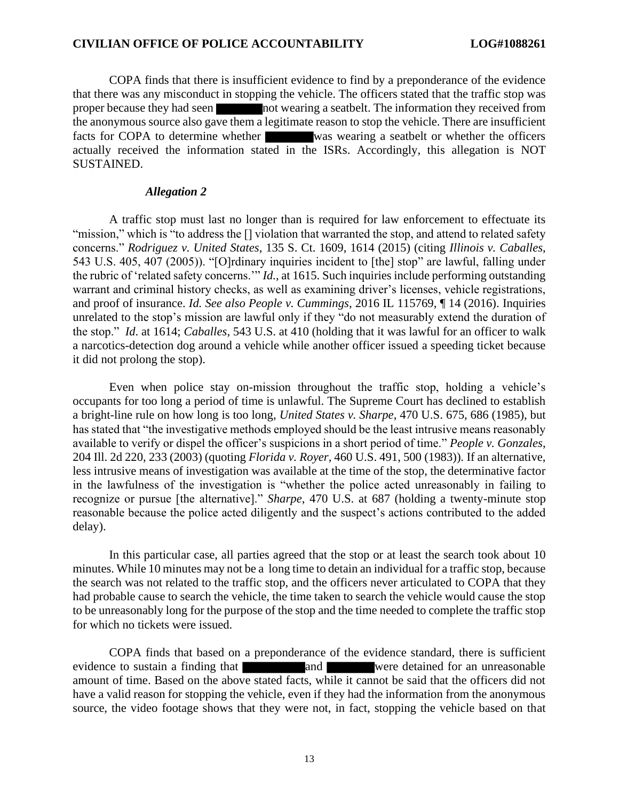COPA finds that there is insufficient evidence to find by a preponderance of the evidence that there was any misconduct in stopping the vehicle. The officers stated that the traffic stop was proper because they had seen not wearing a seatbelt. The information they received from the anonymous source also gave them a legitimate reason to stop the vehicle. There are insufficient facts for COPA to determine whether was wearing a seatbelt or whether the officers actually received the information stated in the ISRs. Accordingly, this allegation is NOT SUSTAINED.

#### *Allegation 2*

A traffic stop must last no longer than is required for law enforcement to effectuate its "mission," which is "to address the [] violation that warranted the stop, and attend to related safety concerns." *Rodriguez v. United States*, 135 S. Ct. 1609, 1614 (2015) (citing *Illinois v. Caballes*, 543 U.S. 405, 407 (2005)). "[O]rdinary inquiries incident to [the] stop" are lawful, falling under the rubric of 'related safety concerns.'" *Id.*, at 1615. Such inquiries include performing outstanding warrant and criminal history checks, as well as examining driver's licenses, vehicle registrations, and proof of insurance. *Id. See also People v. Cummings*, 2016 IL 115769, ¶ 14 (2016). Inquiries unrelated to the stop's mission are lawful only if they "do not measurably extend the duration of the stop." *Id*. at 1614; *Caballes*, 543 U.S. at 410 (holding that it was lawful for an officer to walk a narcotics-detection dog around a vehicle while another officer issued a speeding ticket because it did not prolong the stop).

Even when police stay on-mission throughout the traffic stop, holding a vehicle's occupants for too long a period of time is unlawful. The Supreme Court has declined to establish a bright-line rule on how long is too long, *United States v. Sharpe*, 470 U.S. 675, 686 (1985), but has stated that "the investigative methods employed should be the least intrusive means reasonably available to verify or dispel the officer's suspicions in a short period of time." *People v. Gonzales*, 204 Ill. 2d 220, 233 (2003) (quoting *Florida v. Royer*, 460 U.S. 491, 500 (1983)). If an alternative, less intrusive means of investigation was available at the time of the stop, the determinative factor in the lawfulness of the investigation is "whether the police acted unreasonably in failing to recognize or pursue [the alternative]." *Sharpe*, 470 U.S. at 687 (holding a twenty-minute stop reasonable because the police acted diligently and the suspect's actions contributed to the added delay).

In this particular case, all parties agreed that the stop or at least the search took about 10 minutes. While 10 minutes may not be a long time to detain an individual for a traffic stop, because the search was not related to the traffic stop, and the officers never articulated to COPA that they had probable cause to search the vehicle, the time taken to search the vehicle would cause the stop to be unreasonably long for the purpose of the stop and the time needed to complete the traffic stop for which no tickets were issued.

COPA finds that based on a preponderance of the evidence standard, there is sufficient evidence to sustain a finding that and were detained for an unreasonable amount of time. Based on the above stated facts, while it cannot be said that the officers did not have a valid reason for stopping the vehicle, even if they had the information from the anonymous source, the video footage shows that they were not, in fact, stopping the vehicle based on that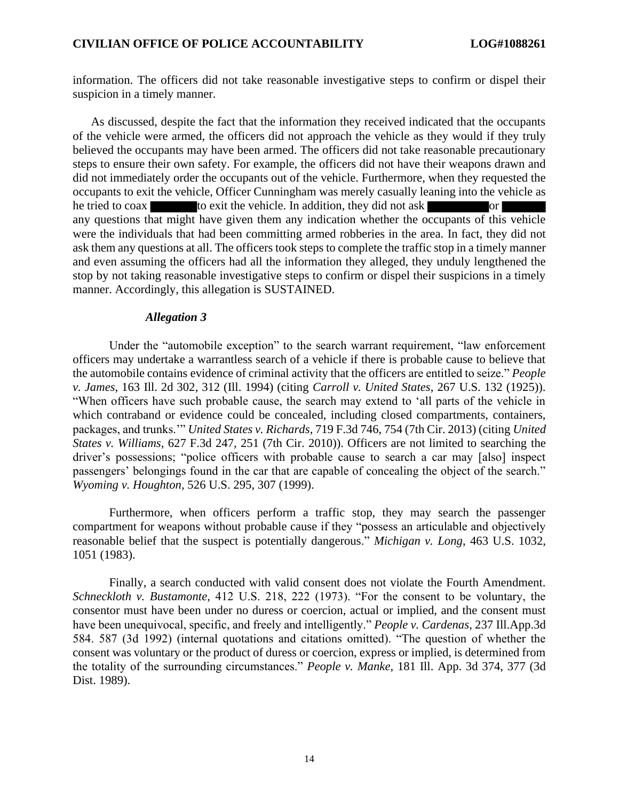information. The officers did not take reasonable investigative steps to confirm or dispel their suspicion in a timely manner.

As discussed, despite the fact that the information they received indicated that the occupants of the vehicle were armed, the officers did not approach the vehicle as they would if they truly believed the occupants may have been armed. The officers did not take reasonable precautionary steps to ensure their own safety. For example, the officers did not have their weapons drawn and did not immediately order the occupants out of the vehicle. Furthermore, when they requested the occupants to exit the vehicle, Officer Cunningham was merely casually leaning into the vehicle as he tried to coax to exit the vehicle. In addition, they did not ask or any questions that might have given them any indication whether the occupants of this vehicle were the individuals that had been committing armed robberies in the area. In fact, they did not ask them any questions at all. The officers took steps to complete the traffic stop in a timely manner and even assuming the officers had all the information they alleged, they unduly lengthened the stop by not taking reasonable investigative steps to confirm or dispel their suspicions in a timely manner. Accordingly, this allegation is SUSTAINED.

### *Allegation 3*

Under the "automobile exception" to the search warrant requirement, "law enforcement officers may undertake a warrantless search of a vehicle if there is probable cause to believe that the automobile contains evidence of criminal activity that the officers are entitled to seize." *People v. James*, 163 Ill. 2d 302, 312 (Ill. 1994) (citing *Carroll v. United States*, 267 U.S. 132 (1925)). "When officers have such probable cause, the search may extend to 'all parts of the vehicle in which contraband or evidence could be concealed, including closed compartments, containers, packages, and trunks.'" *United States v. Richards*, 719 F.3d 746, 754 (7th Cir. 2013) (citing *United States v. Williams*, 627 F.3d 247, 251 (7th Cir. 2010)). Officers are not limited to searching the driver's possessions; "police officers with probable cause to search a car may [also] inspect passengers' belongings found in the car that are capable of concealing the object of the search." *Wyoming v. Houghton*, 526 U.S. 295, 307 (1999).

Furthermore, when officers perform a traffic stop, they may search the passenger compartment for weapons without probable cause if they "possess an articulable and objectively reasonable belief that the suspect is potentially dangerous." *Michigan v. Long*, 463 U.S. 1032, 1051 (1983).

Finally, a search conducted with valid consent does not violate the Fourth Amendment. *Schneckloth v. Bustamonte,* 412 U.S. 218, 222 (1973). "For the consent to be voluntary, the consentor must have been under no duress or coercion, actual or implied, and the consent must have been unequivocal, specific, and freely and intelligently." *People v. Cardenas*, 237 Ill.App.3d 584. 587 (3d 1992) (internal quotations and citations omitted). "The question of whether the consent was voluntary or the product of duress or coercion, express or implied, is determined from the totality of the surrounding circumstances." *People v. Manke*, 181 Ill. App. 3d 374, 377 (3d Dist. 1989).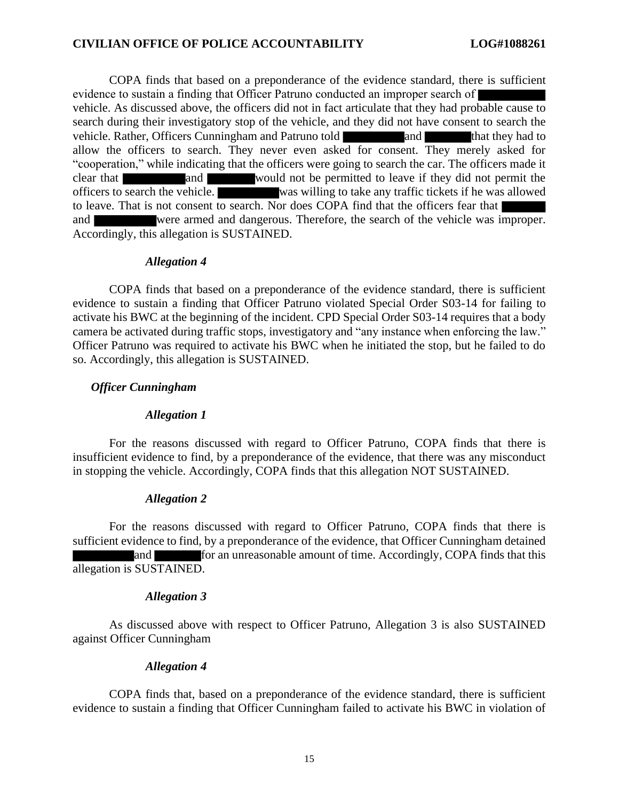COPA finds that based on a preponderance of the evidence standard, there is sufficient evidence to sustain a finding that Officer Patruno conducted an improper search of vehicle. As discussed above, the officers did not in fact articulate that they had probable cause to search during their investigatory stop of the vehicle, and they did not have consent to search the vehicle. Rather, Officers Cunningham and Patruno told and that they had to allow the officers to search. They never even asked for consent. They merely asked for "cooperation," while indicating that the officers were going to search the car. The officers made it clear that and and would not be permitted to leave if they did not permit the officers to search the vehicle. was willing to take any traffic tickets if he was allowed to leave. That is not consent to search. Nor does COPA find that the officers fear that and were armed and dangerous. Therefore, the search of the vehicle was improper. Accordingly, this allegation is SUSTAINED.

#### *Allegation 4*

COPA finds that based on a preponderance of the evidence standard, there is sufficient evidence to sustain a finding that Officer Patruno violated Special Order S03-14 for failing to activate his BWC at the beginning of the incident. CPD Special Order S03-14 requires that a body camera be activated during traffic stops, investigatory and "any instance when enforcing the law." Officer Patruno was required to activate his BWC when he initiated the stop, but he failed to do so. Accordingly, this allegation is SUSTAINED.

#### *Officer Cunningham*

#### *Allegation 1*

For the reasons discussed with regard to Officer Patruno, COPA finds that there is insufficient evidence to find, by a preponderance of the evidence, that there was any misconduct in stopping the vehicle. Accordingly, COPA finds that this allegation NOT SUSTAINED.

#### *Allegation 2*

For the reasons discussed with regard to Officer Patruno, COPA finds that there is sufficient evidence to find, by a preponderance of the evidence, that Officer Cunningham detained and for an unreasonable amount of time. Accordingly, COPA finds that this allegation is SUSTAINED.

#### *Allegation 3*

As discussed above with respect to Officer Patruno, Allegation 3 is also SUSTAINED against Officer Cunningham

#### *Allegation 4*

COPA finds that, based on a preponderance of the evidence standard, there is sufficient evidence to sustain a finding that Officer Cunningham failed to activate his BWC in violation of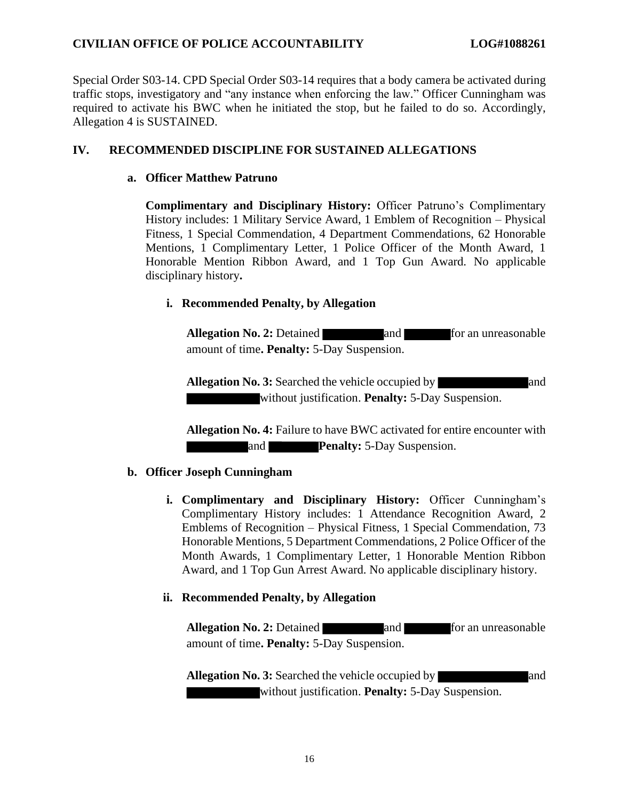Special Order S03-14. CPD Special Order S03-14 requires that a body camera be activated during traffic stops, investigatory and "any instance when enforcing the law." Officer Cunningham was required to activate his BWC when he initiated the stop, but he failed to do so. Accordingly, Allegation 4 is SUSTAINED.

# **IV. RECOMMENDED DISCIPLINE FOR SUSTAINED ALLEGATIONS**

# **a. Officer Matthew Patruno**

**Complimentary and Disciplinary History:** Officer Patruno's Complimentary History includes: 1 Military Service Award, 1 Emblem of Recognition – Physical Fitness, 1 Special Commendation, 4 Department Commendations, 62 Honorable Mentions, 1 Complimentary Letter, 1 Police Officer of the Month Award, 1 Honorable Mention Ribbon Award, and 1 Top Gun Award. No applicable disciplinary history**.** 

# **i. Recommended Penalty, by Allegation**

Allegation No. 2: Detained **and** and **for an unreasonable** amount of time**. Penalty:** 5-Day Suspension.

**Allegation No. 3:** Searched the vehicle occupied by and without justification. **Penalty:** 5-Day Suspension.

**Allegation No. 4:** Failure to have BWC activated for entire encounter with and **Penalty:** 5-Day Suspension.

# **b. Officer Joseph Cunningham**

**i. Complimentary and Disciplinary History:** Officer Cunningham's Complimentary History includes: 1 Attendance Recognition Award, 2 Emblems of Recognition – Physical Fitness, 1 Special Commendation, 73 Honorable Mentions, 5 Department Commendations, 2 Police Officer of the Month Awards, 1 Complimentary Letter, 1 Honorable Mention Ribbon Award, and 1 Top Gun Arrest Award. No applicable disciplinary history.

# **ii. Recommended Penalty, by Allegation**

**Allegation No. 2:** Detained **and and for an unreasonable** amount of time**. Penalty:** 5-Day Suspension.

**Allegation No. 3:** Searched the vehicle occupied by and and without justification. **Penalty:** 5-Day Suspension.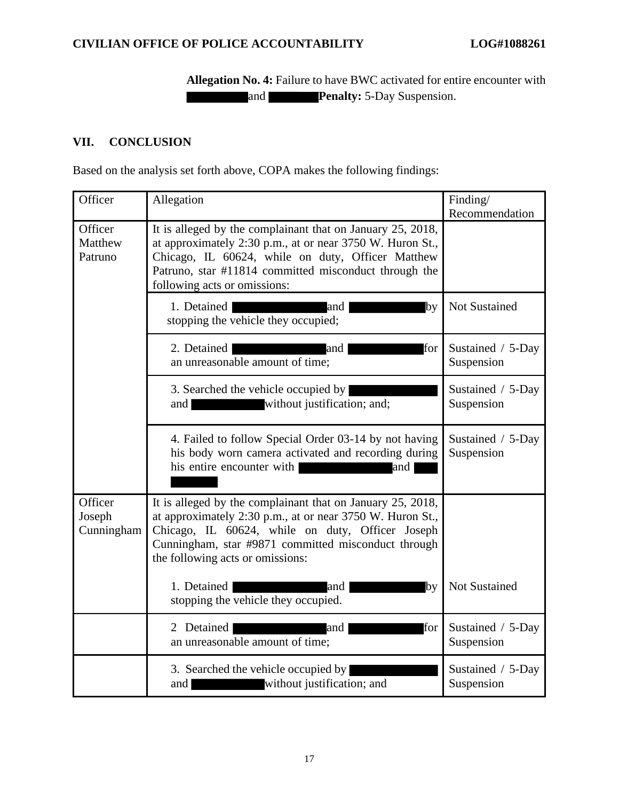**Allegation No. 4:** Failure to have BWC activated for entire encounter with and **Penalty:** 5-Day Suspension.

# **VII. CONCLUSION**

Based on the analysis set forth above, COPA makes the following findings:

| Officer                         | Allegation                                                                                                                                                                                                                                                             | Finding/                        |
|---------------------------------|------------------------------------------------------------------------------------------------------------------------------------------------------------------------------------------------------------------------------------------------------------------------|---------------------------------|
| Officer<br>Matthew<br>Patruno   | It is alleged by the complainant that on January 25, 2018,<br>at approximately 2:30 p.m., at or near 3750 W. Huron St.,<br>Chicago, IL 60624, while on duty, Officer Matthew<br>Patruno, star #11814 committed misconduct through the<br>following acts or omissions:  | Recommendation                  |
|                                 | by<br>1. Detained<br><b>Example 2</b> and <b>and</b><br>stopping the vehicle they occupied;                                                                                                                                                                            | Not Sustained                   |
|                                 | 2. Detained<br>for<br><b>Example 2018</b> and<br>an unreasonable amount of time;                                                                                                                                                                                       | Sustained / 5-Day<br>Suspension |
|                                 | 3. Searched the vehicle occupied by<br>without justification; and;<br>and                                                                                                                                                                                              | Sustained / 5-Day<br>Suspension |
|                                 | 4. Failed to follow Special Order 03-14 by not having<br>his body worn camera activated and recording during<br>his entire encounter with  <br>and and                                                                                                                 | Sustained / 5-Day<br>Suspension |
| Officer<br>Joseph<br>Cunningham | It is alleged by the complainant that on January 25, 2018,<br>at approximately 2:30 p.m., at or near 3750 W. Huron St.,<br>Chicago, IL 60624, while on duty, Officer Joseph<br>Cunningham, star #9871 committed misconduct through<br>the following acts or omissions: |                                 |
|                                 | 1. Detained<br>and<br>by<br>stopping the vehicle they occupied.                                                                                                                                                                                                        | Not Sustained                   |
|                                 | for<br>2 Detained<br>and<br>an unreasonable amount of time;                                                                                                                                                                                                            | Sustained / 5-Day<br>Suspension |
|                                 | 3. Searched the vehicle occupied by<br>without justification; and<br>and                                                                                                                                                                                               | Sustained / 5-Day<br>Suspension |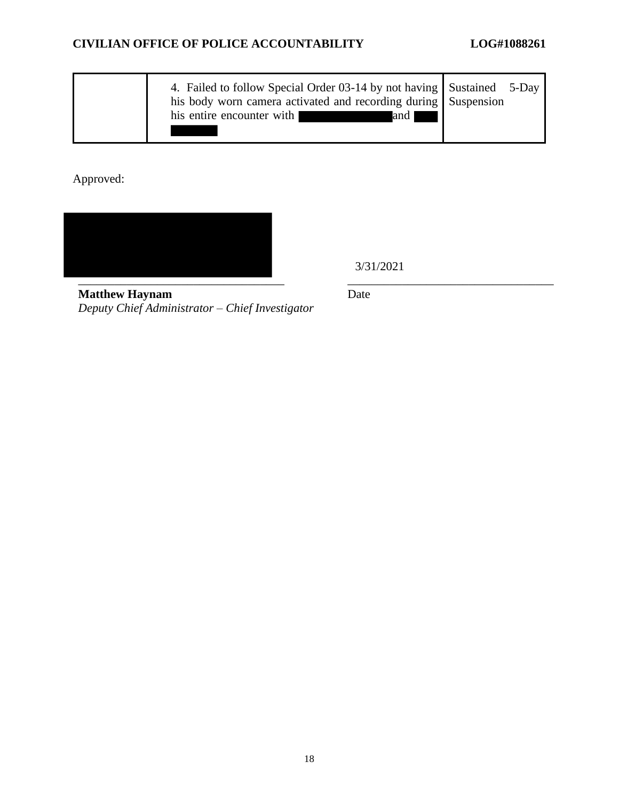| 4. Failed to follow Special Order 03-14 by not having Sustained 5-Day<br>his body worn camera activated and recording during Suspension |  |
|-----------------------------------------------------------------------------------------------------------------------------------------|--|
| his entire encounter with<br>and I                                                                                                      |  |

Approved:



3/31/2021

**Matthew Haynam** *Deputy Chief Administrator – Chief Investigator* Date